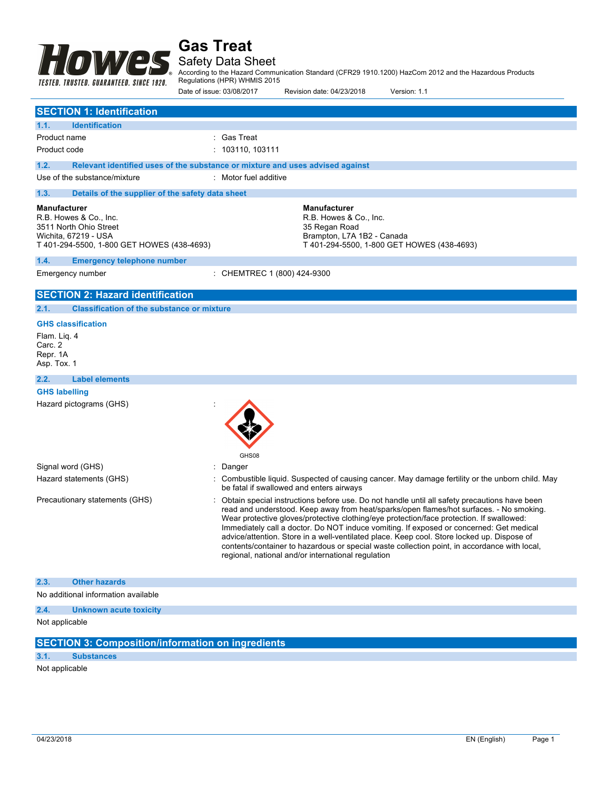

### Safety Data Sheet

According to the Hazard Communication Standard (CFR29 1910.1200) HazCom 2012 and the Hazardous Products Regulations (HPR) WHMIS 2015

|                                                                                    |                                                                                                                        | Date of issue: 03/08/2017                                                     | Revision date: 04/23/2018                                                                    | Version: 1.1                                                                                                                                                                                                                                                                                                                                                                                                                                                                                                                                                                 |
|------------------------------------------------------------------------------------|------------------------------------------------------------------------------------------------------------------------|-------------------------------------------------------------------------------|----------------------------------------------------------------------------------------------|------------------------------------------------------------------------------------------------------------------------------------------------------------------------------------------------------------------------------------------------------------------------------------------------------------------------------------------------------------------------------------------------------------------------------------------------------------------------------------------------------------------------------------------------------------------------------|
|                                                                                    | <b>SECTION 1: Identification</b>                                                                                       |                                                                               |                                                                                              |                                                                                                                                                                                                                                                                                                                                                                                                                                                                                                                                                                              |
| 1.1.                                                                               | <b>Identification</b>                                                                                                  |                                                                               |                                                                                              |                                                                                                                                                                                                                                                                                                                                                                                                                                                                                                                                                                              |
| Product name                                                                       |                                                                                                                        | : Gas Treat                                                                   |                                                                                              |                                                                                                                                                                                                                                                                                                                                                                                                                                                                                                                                                                              |
| Product code                                                                       |                                                                                                                        | : 103110, 103111                                                              |                                                                                              |                                                                                                                                                                                                                                                                                                                                                                                                                                                                                                                                                                              |
| 1.2.                                                                               |                                                                                                                        | Relevant identified uses of the substance or mixture and uses advised against |                                                                                              |                                                                                                                                                                                                                                                                                                                                                                                                                                                                                                                                                                              |
|                                                                                    | Use of the substance/mixture                                                                                           | : Motor fuel additive                                                         |                                                                                              |                                                                                                                                                                                                                                                                                                                                                                                                                                                                                                                                                                              |
| 1.3.                                                                               | Details of the supplier of the safety data sheet                                                                       |                                                                               |                                                                                              |                                                                                                                                                                                                                                                                                                                                                                                                                                                                                                                                                                              |
| <b>Manufacturer</b>                                                                | R.B. Howes & Co., Inc.<br>3511 North Ohio Street<br>Wichita, 67219 - USA<br>T 401-294-5500, 1-800 GET HOWES (438-4693) |                                                                               | <b>Manufacturer</b><br>R.B. Howes & Co., Inc.<br>35 Regan Road<br>Brampton, L7A 1B2 - Canada | T 401-294-5500, 1-800 GET HOWES (438-4693)                                                                                                                                                                                                                                                                                                                                                                                                                                                                                                                                   |
| 1.4.                                                                               | <b>Emergency telephone number</b>                                                                                      |                                                                               |                                                                                              |                                                                                                                                                                                                                                                                                                                                                                                                                                                                                                                                                                              |
|                                                                                    | Emergency number                                                                                                       | : CHEMTREC 1 (800) 424-9300                                                   |                                                                                              |                                                                                                                                                                                                                                                                                                                                                                                                                                                                                                                                                                              |
|                                                                                    | <b>SECTION 2: Hazard identification</b>                                                                                |                                                                               |                                                                                              |                                                                                                                                                                                                                                                                                                                                                                                                                                                                                                                                                                              |
| 2.1.                                                                               | <b>Classification of the substance or mixture</b>                                                                      |                                                                               |                                                                                              |                                                                                                                                                                                                                                                                                                                                                                                                                                                                                                                                                                              |
| Flam. Lig. 4<br>Carc. 2<br>Repr. 1A<br>Asp. Tox. 1<br>2.2.<br><b>GHS labelling</b> | <b>GHS</b> classification<br><b>Label elements</b>                                                                     |                                                                               |                                                                                              |                                                                                                                                                                                                                                                                                                                                                                                                                                                                                                                                                                              |
|                                                                                    | Hazard pictograms (GHS)                                                                                                | GHS08                                                                         |                                                                                              |                                                                                                                                                                                                                                                                                                                                                                                                                                                                                                                                                                              |
|                                                                                    | Signal word (GHS)                                                                                                      | Danger                                                                        |                                                                                              |                                                                                                                                                                                                                                                                                                                                                                                                                                                                                                                                                                              |
|                                                                                    | Hazard statements (GHS)                                                                                                |                                                                               | be fatal if swallowed and enters airways                                                     | Combustible liquid. Suspected of causing cancer. May damage fertility or the unborn child. May                                                                                                                                                                                                                                                                                                                                                                                                                                                                               |
|                                                                                    | Precautionary statements (GHS)                                                                                         |                                                                               | regional, national and/or international regulation                                           | Obtain special instructions before use. Do not handle until all safety precautions have been<br>read and understood. Keep away from heat/sparks/open flames/hot surfaces. - No smoking.<br>Wear protective gloves/protective clothing/eye protection/face protection. If swallowed:<br>Immediately call a doctor. Do NOT induce vomiting. If exposed or concerned: Get medical<br>advice/attention. Store in a well-ventilated place. Keep cool. Store locked up. Dispose of<br>contents/container to hazardous or special waste collection point, in accordance with local, |
| 2.3.                                                                               | <b>Other hazards</b>                                                                                                   |                                                                               |                                                                                              |                                                                                                                                                                                                                                                                                                                                                                                                                                                                                                                                                                              |

No additional information available

### **2.4. Unknown acute toxicity**

Not applicable

### **SECTION 3: Composition/information on ingredients**

### **3.1. Substances**

Not applicable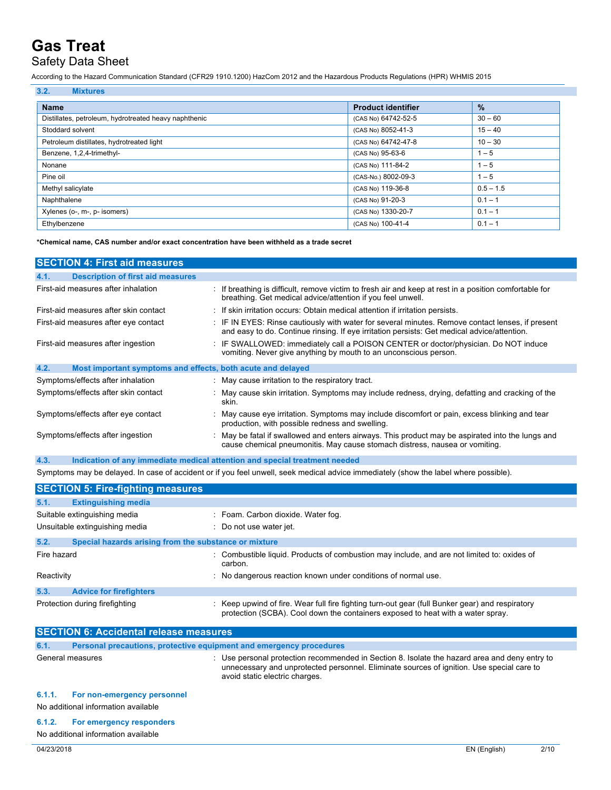## Safety Data Sheet

According to the Hazard Communication Standard (CFR29 1910.1200) HazCom 2012 and the Hazardous Products Regulations (HPR) WHMIS 2015

| 3.2.<br><b>Mixtures</b>                               |                           |             |
|-------------------------------------------------------|---------------------------|-------------|
| <b>Name</b>                                           | <b>Product identifier</b> | $\%$        |
| Distillates, petroleum, hydrotreated heavy naphthenic | (CAS No) 64742-52-5       | $30 - 60$   |
| Stoddard solvent                                      | (CAS No) 8052-41-3        | $15 - 40$   |
| Petroleum distillates, hydrotreated light             | (CAS No) 64742-47-8       | $10 - 30$   |
| Benzene, 1,2,4-trimethyl-                             | (CAS No) 95-63-6          | $1 - 5$     |
| Nonane                                                | (CAS No) 111-84-2         | $1 - 5$     |
| Pine oil                                              | (CAS-No.) 8002-09-3       | $1 - 5$     |
| Methyl salicylate                                     | (CAS No) 119-36-8         | $0.5 - 1.5$ |
| Naphthalene                                           | (CAS No) 91-20-3          | $0.1 - 1$   |
| Xylenes (o-, m-, p- isomers)                          | (CAS No) 1330-20-7        | $0.1 - 1$   |
| Ethylbenzene                                          | (CAS No) 100-41-4         | $0.1 - ?$   |

#### **\*Chemical name, CAS number and/or exact concentration have been withheld as a trade secret**

| <b>SECTION 4: First aid measures</b>                                |                                                                                                                                                                                                 |
|---------------------------------------------------------------------|-------------------------------------------------------------------------------------------------------------------------------------------------------------------------------------------------|
| 4.1.<br><b>Description of first aid measures</b>                    |                                                                                                                                                                                                 |
| First-aid measures after inhalation                                 | : If breathing is difficult, remove victim to fresh air and keep at rest in a position comfortable for<br>breathing. Get medical advice/attention if you feel unwell.                           |
| First-aid measures after skin contact                               | : If skin irritation occurs: Obtain medical attention if irritation persists.                                                                                                                   |
| First-aid measures after eye contact                                | : IF IN EYES: Rinse cautiously with water for several minutes. Remove contact lenses, if present<br>and easy to do. Continue rinsing. If eye irritation persists: Get medical advice/attention. |
| First-aid measures after ingestion                                  | : IF SWALLOWED: immediately call a POISON CENTER or doctor/physician. Do NOT induce<br>vomiting. Never give anything by mouth to an unconscious person.                                         |
| 4.2.<br>Most important symptoms and effects, both acute and delayed |                                                                                                                                                                                                 |
| Symptoms/effects after inhalation                                   | : May cause irritation to the respiratory tract.                                                                                                                                                |
| Symptoms/effects after skin contact                                 | : May cause skin irritation. Symptoms may include redness, drying, defatting and cracking of the<br>skin.                                                                                       |
| Symptoms/effects after eye contact                                  | : May cause eye irritation. Symptoms may include discomfort or pain, excess blinking and tear<br>production, with possible redness and swelling.                                                |
| Symptoms/effects after ingestion                                    | : May be fatal if swallowed and enters airways. This product may be aspirated into the lungs and<br>cause chemical pneumonitis. May cause stomach distress, nausea or vomiting.                 |

**4.3. Indication of any immediate medical attention and special treatment needed**

Symptoms may be delayed. In case of accident or if you feel unwell, seek medical advice immediately (show the label where possible).

|                                | <b>SECTION 5: Fire-fighting measures</b>              |                                                                                                                                                                                    |
|--------------------------------|-------------------------------------------------------|------------------------------------------------------------------------------------------------------------------------------------------------------------------------------------|
| 5.1.                           | <b>Extinguishing media</b>                            |                                                                                                                                                                                    |
|                                | Suitable extinguishing media                          | : Foam. Carbon dioxide. Water fog.                                                                                                                                                 |
|                                | Unsuitable extinguishing media                        | : Do not use water jet.                                                                                                                                                            |
| 5.2.                           | Special hazards arising from the substance or mixture |                                                                                                                                                                                    |
| Fire hazard                    |                                                       | : Combustible liquid. Products of combustion may include, and are not limited to: oxides of<br>carbon.                                                                             |
| Reactivity                     |                                                       | : No dangerous reaction known under conditions of normal use.                                                                                                                      |
| 5.3.                           | <b>Advice for firefighters</b>                        |                                                                                                                                                                                    |
| Protection during firefighting |                                                       | : Keep upwind of fire. Wear full fire fighting turn-out gear (full Bunker gear) and respiratory<br>protection (SCBA). Cool down the containers exposed to heat with a water spray. |

| <b>SECTION 6: Accidental release measures</b> |                                                                     |                                                                                                                                                                                                                              |  |
|-----------------------------------------------|---------------------------------------------------------------------|------------------------------------------------------------------------------------------------------------------------------------------------------------------------------------------------------------------------------|--|
| 6.1.                                          | Personal precautions, protective equipment and emergency procedures |                                                                                                                                                                                                                              |  |
| General measures                              |                                                                     | : Use personal protection recommended in Section 8. Isolate the hazard area and deny entry to<br>unnecessary and unprotected personnel. Eliminate sources of ignition. Use special care to<br>avoid static electric charges. |  |
| 6.1.1.                                        | For non-emergency personnel                                         |                                                                                                                                                                                                                              |  |
|                                               | No additional information available                                 |                                                                                                                                                                                                                              |  |
| 6.1.2.                                        | For emergency responders<br>No additional information available     |                                                                                                                                                                                                                              |  |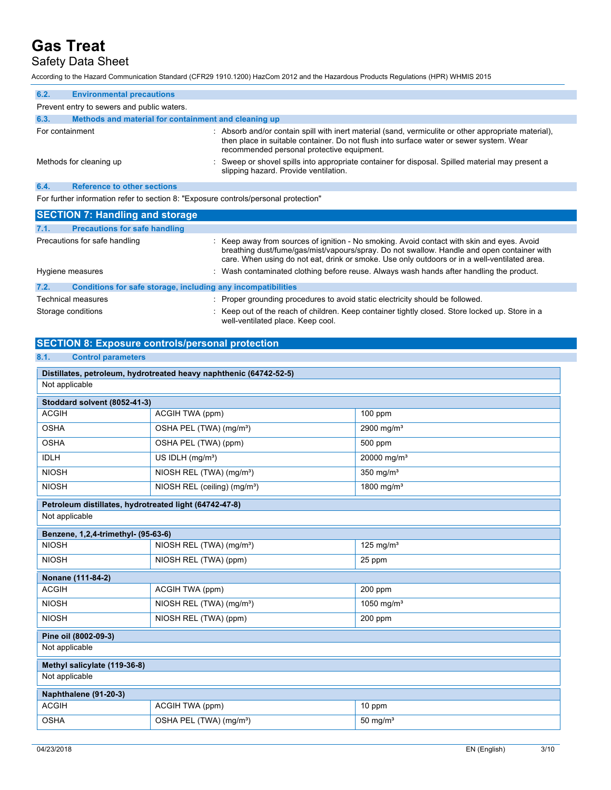## Safety Data Sheet

According to the Hazard Communication Standard (CFR29 1910.1200) HazCom 2012 and the Hazardous Products Regulations (HPR) WHMIS 2015

| 6.2.                    | <b>Environmental precautions</b>                     |                                                                                                                                                                                                                                               |  |
|-------------------------|------------------------------------------------------|-----------------------------------------------------------------------------------------------------------------------------------------------------------------------------------------------------------------------------------------------|--|
|                         | Prevent entry to sewers and public waters.           |                                                                                                                                                                                                                                               |  |
| 6.3.                    | Methods and material for containment and cleaning up |                                                                                                                                                                                                                                               |  |
| For containment         |                                                      | : Absorb and/or contain spill with inert material (sand, vermiculite or other appropriate material),<br>then place in suitable container. Do not flush into surface water or sewer system. Wear<br>recommended personal protective equipment. |  |
| Methods for cleaning up |                                                      | : Sweep or shovel spills into appropriate container for disposal. Spilled material may present a<br>slipping hazard. Provide ventilation.                                                                                                     |  |
| 6.4.                    | <b>Reference to other sections</b>                   |                                                                                                                                                                                                                                               |  |

For further information refer to section 8: "Exposure controls/personal protection"

|                           | <b>SECTION 7: Handling and storage</b>                       |                                                                                                                                                                                                                                                                                          |
|---------------------------|--------------------------------------------------------------|------------------------------------------------------------------------------------------------------------------------------------------------------------------------------------------------------------------------------------------------------------------------------------------|
| 7.1.                      | <b>Precautions for safe handling</b>                         |                                                                                                                                                                                                                                                                                          |
|                           | Precautions for safe handling                                | : Keep away from sources of ignition - No smoking. Avoid contact with skin and eyes. Avoid<br>breathing dust/fume/gas/mist/vapours/spray. Do not swallow. Handle and open container with<br>care. When using do not eat, drink or smoke. Use only outdoors or in a well-ventilated area. |
| Hygiene measures          |                                                              | : Wash contaminated clothing before reuse. Always wash hands after handling the product.                                                                                                                                                                                                 |
| 7.2.                      | Conditions for safe storage, including any incompatibilities |                                                                                                                                                                                                                                                                                          |
| <b>Technical measures</b> |                                                              | : Proper grounding procedures to avoid static electricity should be followed.                                                                                                                                                                                                            |
| Storage conditions        |                                                              | : Keep out of the reach of children. Keep container tightly closed. Store locked up. Store in a                                                                                                                                                                                          |

well-ventilated place. Keep cool.

#### **SECTION 8: Exposure controls/personal protection**

| <b>Control parameters</b><br>8.1.                                  |                                          |                         |  |
|--------------------------------------------------------------------|------------------------------------------|-------------------------|--|
| Distillates, petroleum, hydrotreated heavy naphthenic (64742-52-5) |                                          |                         |  |
| Not applicable                                                     |                                          |                         |  |
| Stoddard solvent (8052-41-3)                                       |                                          |                         |  |
| <b>ACGIH</b>                                                       | ACGIH TWA (ppm)                          | $100$ ppm               |  |
| <b>OSHA</b>                                                        | OSHA PEL (TWA) (mg/m <sup>3</sup> )      | 2900 mg/m $3$           |  |
| <b>OSHA</b>                                                        | OSHA PEL (TWA) (ppm)                     | 500 ppm                 |  |
| <b>IDLH</b>                                                        | US IDLH (mg/m <sup>3</sup> )             | 20000 mg/m <sup>3</sup> |  |
| <b>NIOSH</b>                                                       | NIOSH REL (TWA) (mg/m <sup>3</sup> )     | 350 mg/ $m3$            |  |
| <b>NIOSH</b>                                                       | NIOSH REL (ceiling) (mg/m <sup>3</sup> ) | 1800 mg/m <sup>3</sup>  |  |
| Petroleum distillates, hydrotreated light (64742-47-8)             |                                          |                         |  |
| Not applicable                                                     |                                          |                         |  |
| Benzene, 1,2,4-trimethyl- (95-63-6)                                |                                          |                         |  |
| <b>NIOSH</b>                                                       | NIOSH REL (TWA) (mg/m <sup>3</sup> )     | 125 mg/m $3$            |  |
| <b>NIOSH</b>                                                       | NIOSH REL (TWA) (ppm)                    | 25 ppm                  |  |
| Nonane (111-84-2)                                                  |                                          |                         |  |
| <b>ACGIH</b>                                                       | ACGIH TWA (ppm)                          | 200 ppm                 |  |
| <b>NIOSH</b>                                                       | NIOSH REL (TWA) (mg/m <sup>3</sup> )     | 1050 mg/m $3$           |  |
| <b>NIOSH</b>                                                       | NIOSH REL (TWA) (ppm)                    | 200 ppm                 |  |
| Pine oil (8002-09-3)                                               |                                          |                         |  |
| Not applicable                                                     |                                          |                         |  |
| Methyl salicylate (119-36-8)                                       |                                          |                         |  |
| Not applicable                                                     |                                          |                         |  |
| Naphthalene (91-20-3)                                              |                                          |                         |  |
| <b>ACGIH</b>                                                       | ACGIH TWA (ppm)                          | 10 ppm                  |  |
| <b>OSHA</b>                                                        | OSHA PEL (TWA) (mg/m <sup>3</sup> )      | 50 mg/ $m3$             |  |
|                                                                    |                                          |                         |  |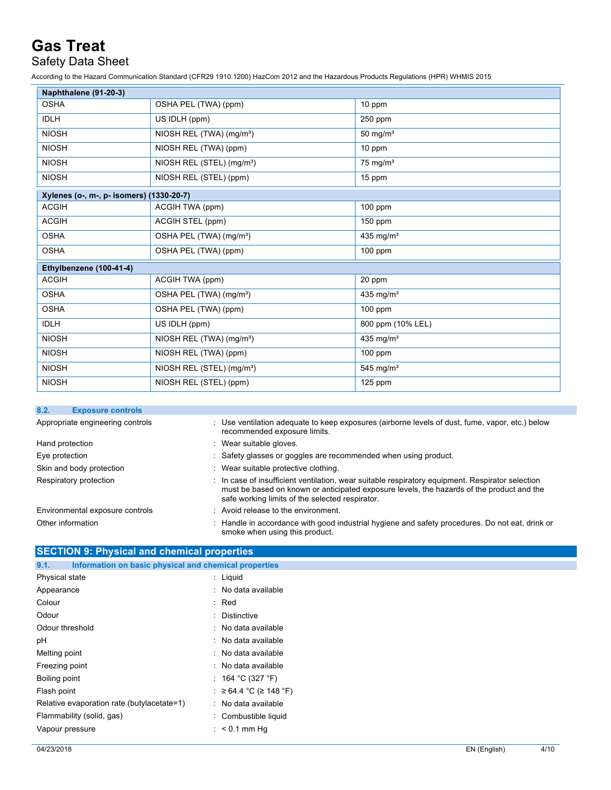## Safety Data Sheet

According to the Hazard Communication Standard (CFR29 1910.1200) HazCom 2012 and the Hazardous Products Regulations (HPR) WHMIS 2015

| Naphthalene (91-20-3)                    |                                       |                       |  |  |
|------------------------------------------|---------------------------------------|-----------------------|--|--|
| <b>OSHA</b>                              | OSHA PEL (TWA) (ppm)                  | 10 ppm                |  |  |
| <b>IDLH</b>                              | US IDLH (ppm)                         | 250 ppm               |  |  |
| <b>NIOSH</b>                             | NIOSH REL (TWA) (mg/m <sup>3</sup> )  | 50 mg/ $m3$           |  |  |
| <b>NIOSH</b>                             | NIOSH REL (TWA) (ppm)                 | 10 ppm                |  |  |
| <b>NIOSH</b>                             | NIOSH REL (STEL) (mg/m <sup>3</sup> ) | $75 \text{ mg/m}^3$   |  |  |
| <b>NIOSH</b>                             | NIOSH REL (STEL) (ppm)                | 15 ppm                |  |  |
| Xylenes (o-, m-, p- isomers) (1330-20-7) |                                       |                       |  |  |
| <b>ACGIH</b>                             | ACGIH TWA (ppm)                       | $100$ ppm             |  |  |
| <b>ACGIH</b>                             | ACGIH STEL (ppm)                      | $150$ ppm             |  |  |
| <b>OSHA</b>                              | OSHA PEL (TWA) (mg/m <sup>3</sup> )   | 435 mg/m <sup>3</sup> |  |  |
| <b>OSHA</b>                              | OSHA PEL (TWA) (ppm)                  | $100$ ppm             |  |  |
| Ethylbenzene (100-41-4)                  |                                       |                       |  |  |
| <b>ACGIH</b>                             | ACGIH TWA (ppm)                       | 20 ppm                |  |  |
| <b>OSHA</b>                              | OSHA PEL (TWA) (mg/m <sup>3</sup> )   | 435 mg/ $m3$          |  |  |
| <b>OSHA</b>                              | OSHA PEL (TWA) (ppm)                  | $100$ ppm             |  |  |
| <b>IDLH</b>                              | US IDLH (ppm)                         | 800 ppm (10% LEL)     |  |  |
| <b>NIOSH</b>                             | NIOSH REL (TWA) (mg/m <sup>3</sup> )  | 435 mg/m <sup>3</sup> |  |  |
| <b>NIOSH</b>                             | NIOSH REL (TWA) (ppm)                 | $100$ ppm             |  |  |
| <b>NIOSH</b>                             | NIOSH REL (STEL) (mg/m <sup>3</sup> ) | 545 mg/ $m3$          |  |  |
| <b>NIOSH</b>                             | NIOSH REL (STEL) (ppm)                | $125$ ppm             |  |  |

| 8.2.                             | <b>Exposure controls</b>        |                                                                                                                                                                                                                                                  |
|----------------------------------|---------------------------------|--------------------------------------------------------------------------------------------------------------------------------------------------------------------------------------------------------------------------------------------------|
| Appropriate engineering controls |                                 | : Use ventilation adequate to keep exposures (airborne levels of dust, fume, vapor, etc.) below<br>recommended exposure limits.                                                                                                                  |
| Hand protection                  |                                 | : Wear suitable gloves.                                                                                                                                                                                                                          |
| Eye protection                   |                                 | : Safety glasses or goggles are recommended when using product.                                                                                                                                                                                  |
|                                  | Skin and body protection        | : Wear suitable protective clothing.                                                                                                                                                                                                             |
|                                  | Respiratory protection          | : In case of insufficient ventilation, wear suitable respiratory equipment. Respirator selection<br>must be based on known or anticipated exposure levels, the hazards of the product and the<br>safe working limits of the selected respirator. |
|                                  | Environmental exposure controls | : Avoid release to the environment.                                                                                                                                                                                                              |
| Other information                |                                 | : Handle in accordance with good industrial hygiene and safety procedures. Do not eat, drink or<br>smoke when using this product.                                                                                                                |

| <b>SECTION 9: Physical and chemical properties</b>            |                          |
|---------------------------------------------------------------|--------------------------|
| Information on basic physical and chemical properties<br>9.1. |                          |
| Physical state                                                | $:$ Liquid               |
| Appearance                                                    | : No data available      |
| Colour                                                        | : Red                    |
| Odour                                                         | : Distinctive            |
| Odour threshold                                               | : No data available      |
| рH                                                            | : No data available      |
| Melting point                                                 | : No data available      |
| Freezing point                                                | : No data available      |
| Boiling point                                                 | : 164 °C (327 °F)        |
| Flash point                                                   | : ≥ 64.4 °C (≥ 148 °F)   |
| Relative evaporation rate (butylacetate=1)                    | : No data available      |
| Flammability (solid, gas)                                     | : Combustible liquid     |
| Vapour pressure                                               | $\therefore$ < 0.1 mm Hg |
|                                                               |                          |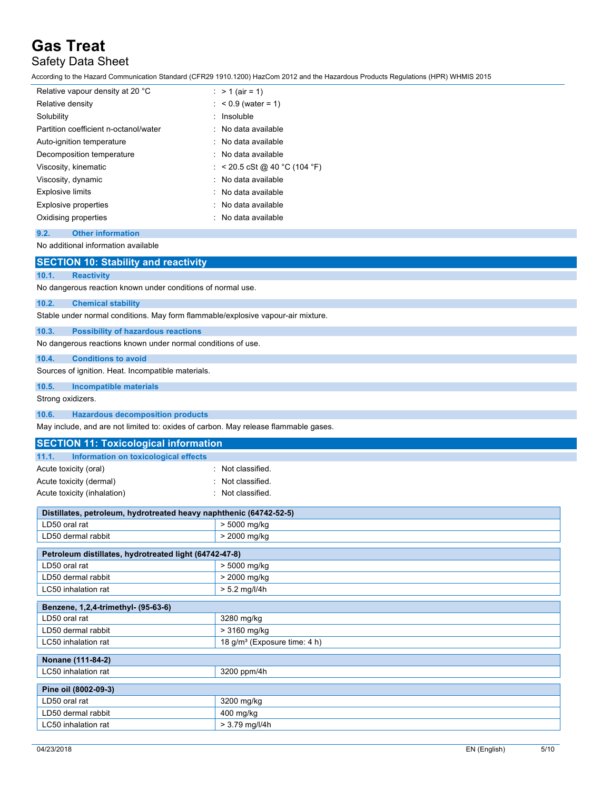## Safety Data Sheet

According to the Hazard Communication Standard (CFR29 1910.1200) HazCom 2012 and the Hazardous Products Regulations (HPR) WHMIS 2015

| Relative vapour density at 20 °C      | : > 1 (air = 1)               |
|---------------------------------------|-------------------------------|
| Relative density                      | $: 60.9$ (water = 1)          |
| Solubility                            | : Insoluble                   |
| Partition coefficient n-octanol/water | : No data available           |
| Auto-ignition temperature             | : No data available           |
| Decomposition temperature             | : No data available           |
| Viscosity, kinematic                  | : < 20.5 cSt @ 40 °C (104 °F) |
| Viscosity, dynamic                    | : No data available           |
| <b>Explosive limits</b>               | : No data available           |
| <b>Explosive properties</b>           | : No data available           |
| Oxidising properties                  | : No data available           |

#### **9.2. Other information**

#### No additional information available

|                   | <b>SECTION 10: Stability and reactivity</b>                                      |  |  |
|-------------------|----------------------------------------------------------------------------------|--|--|
| 10.1.             | <b>Reactivity</b>                                                                |  |  |
|                   | No dangerous reaction known under conditions of normal use.                      |  |  |
| 10.2.             | <b>Chemical stability</b>                                                        |  |  |
|                   | Stable under normal conditions. May form flammable/explosive vapour-air mixture. |  |  |
| 10.3.             | <b>Possibility of hazardous reactions</b>                                        |  |  |
|                   | No dangerous reactions known under normal conditions of use.                     |  |  |
| 10.4.             | <b>Conditions to avoid</b>                                                       |  |  |
|                   | Sources of ignition. Heat. Incompatible materials.                               |  |  |
| 10.5.             | <b>Incompatible materials</b>                                                    |  |  |
| Strong oxidizers. |                                                                                  |  |  |
| 10.6.             | <b>Hazardous decomposition products</b>                                          |  |  |

May include, and are not limited to: oxides of carbon. May release flammable gases.

### **SECTION 11: Toxicological information 11.1. Information on toxicological effects** Acute toxicity (oral) **Example 2** Constant Constant Constant Constant Constant Constant Constant Constant Constant Acute toxicity (dermal) **Example 2** Constant to Mot classified.

| Acute toxicity (inhalation) | : Not classified. |
|-----------------------------|-------------------|
|                             |                   |

| Distillates, petroleum, hydrotreated heavy naphthenic (64742-52-5) |                                          |  |  |
|--------------------------------------------------------------------|------------------------------------------|--|--|
| LD50 oral rat                                                      | > 5000 mg/kg                             |  |  |
| LD50 dermal rabbit                                                 | > 2000 mg/kg                             |  |  |
| Petroleum distillates, hydrotreated light (64742-47-8)             |                                          |  |  |
| LD50 oral rat                                                      | > 5000 mg/kg                             |  |  |
| LD50 dermal rabbit                                                 | $> 2000$ mg/kg                           |  |  |
| LC50 inhalation rat                                                | $> 5.2$ mg/l/4h                          |  |  |
| Benzene, 1,2,4-trimethyl- (95-63-6)                                |                                          |  |  |
| LD50 oral rat                                                      | 3280 mg/kg                               |  |  |
| LD50 dermal rabbit                                                 | > 3160 mg/kg                             |  |  |
| LC50 inhalation rat                                                | 18 g/m <sup>3</sup> (Exposure time: 4 h) |  |  |
| Nonane (111-84-2)                                                  |                                          |  |  |
| LC50 inhalation rat                                                | 3200 ppm/4h                              |  |  |
| Pine oil (8002-09-3)                                               |                                          |  |  |
| LD50 oral rat                                                      | 3200 mg/kg                               |  |  |
| LD50 dermal rabbit                                                 | $400$ mg/kg                              |  |  |
| LC50 inhalation rat                                                | $> 3.79$ mg/l/4h                         |  |  |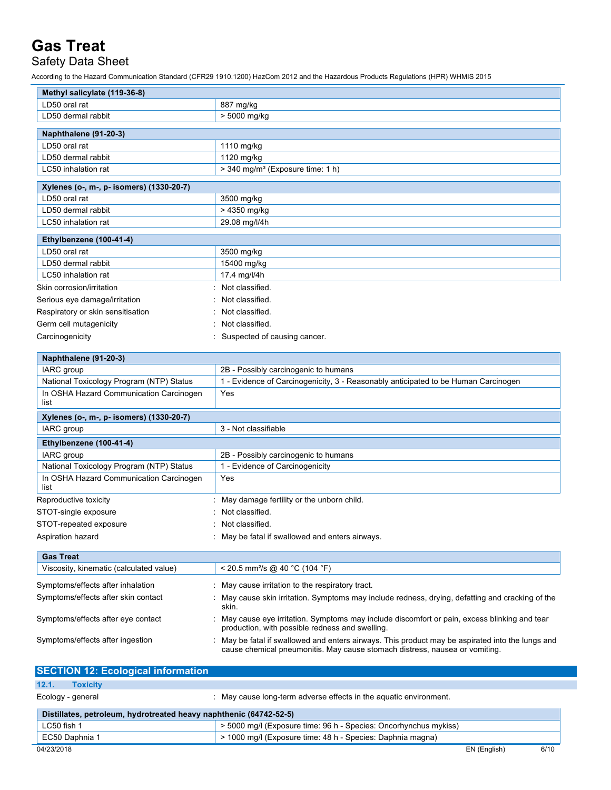Safety Data Sheet

According to the Hazard Communication Standard (CFR29 1910.1200) HazCom 2012 and the Hazardous Products Regulations (HPR) WHMIS 2015

| Methyl salicylate (119-36-8)                                |                                                                                                                                                                               |  |  |
|-------------------------------------------------------------|-------------------------------------------------------------------------------------------------------------------------------------------------------------------------------|--|--|
| LD50 oral rat                                               | 887 mg/kg                                                                                                                                                                     |  |  |
| LD50 dermal rabbit                                          | > 5000 mg/kg                                                                                                                                                                  |  |  |
| Naphthalene (91-20-3)                                       |                                                                                                                                                                               |  |  |
| LD50 oral rat                                               | 1110 mg/kg                                                                                                                                                                    |  |  |
| LD50 dermal rabbit                                          | 1120 mg/kg                                                                                                                                                                    |  |  |
| LC50 inhalation rat                                         | > 340 mg/m <sup>3</sup> (Exposure time: 1 h)                                                                                                                                  |  |  |
| Xylenes (o-, m-, p- isomers) (1330-20-7)                    |                                                                                                                                                                               |  |  |
| LD50 oral rat                                               | 3500 mg/kg                                                                                                                                                                    |  |  |
| LD50 dermal rabbit                                          | > 4350 mg/kg                                                                                                                                                                  |  |  |
| LC50 inhalation rat                                         | 29.08 mg/l/4h                                                                                                                                                                 |  |  |
| Ethylbenzene (100-41-4)                                     |                                                                                                                                                                               |  |  |
| LD50 oral rat                                               | 3500 mg/kg                                                                                                                                                                    |  |  |
| LD50 dermal rabbit                                          | 15400 mg/kg                                                                                                                                                                   |  |  |
| LC50 inhalation rat                                         | 17.4 mg/l/4h                                                                                                                                                                  |  |  |
| Skin corrosion/irritation                                   | Not classified.                                                                                                                                                               |  |  |
| Serious eye damage/irritation                               | Not classified.                                                                                                                                                               |  |  |
| Respiratory or skin sensitisation                           | Not classified.                                                                                                                                                               |  |  |
| Germ cell mutagenicity                                      | Not classified.                                                                                                                                                               |  |  |
| Carcinogenicity                                             | Suspected of causing cancer.                                                                                                                                                  |  |  |
|                                                             |                                                                                                                                                                               |  |  |
| Naphthalene (91-20-3)                                       |                                                                                                                                                                               |  |  |
| IARC group                                                  | 2B - Possibly carcinogenic to humans                                                                                                                                          |  |  |
| National Toxicology Program (NTP) Status                    | 1 - Evidence of Carcinogenicity, 3 - Reasonably anticipated to be Human Carcinogen                                                                                            |  |  |
| In OSHA Hazard Communication Carcinogen<br>list             | Yes                                                                                                                                                                           |  |  |
| Xylenes (o-, m-, p- isomers) (1330-20-7)                    |                                                                                                                                                                               |  |  |
| IARC group                                                  | 3 - Not classifiable                                                                                                                                                          |  |  |
| Ethylbenzene (100-41-4)                                     |                                                                                                                                                                               |  |  |
| IARC group                                                  | 2B - Possibly carcinogenic to humans                                                                                                                                          |  |  |
| National Toxicology Program (NTP) Status                    | 1 - Evidence of Carcinogenicity                                                                                                                                               |  |  |
| In OSHA Hazard Communication Carcinogen<br>list             | Yes                                                                                                                                                                           |  |  |
| Reproductive toxicity                                       | : May damage fertility or the unborn child.                                                                                                                                   |  |  |
| STOT-single exposure                                        | Not classified.                                                                                                                                                               |  |  |
| STOT-repeated exposure                                      | Not classified.                                                                                                                                                               |  |  |
| Aspiration hazard                                           | May be fatal if swallowed and enters airways.                                                                                                                                 |  |  |
|                                                             |                                                                                                                                                                               |  |  |
| <b>Gas Treat</b><br>Viscosity, kinematic (calculated value) | < 20.5 mm <sup>2</sup> /s @ 40 °C (104 °F)                                                                                                                                    |  |  |
|                                                             |                                                                                                                                                                               |  |  |
| Symptoms/effects after inhalation                           | May cause irritation to the respiratory tract.                                                                                                                                |  |  |
| Symptoms/effects after skin contact                         | May cause skin irritation. Symptoms may include redness, drying, defatting and cracking of the<br>skin.                                                                       |  |  |
| Symptoms/effects after eye contact                          | May cause eye irritation. Symptoms may include discomfort or pain, excess blinking and tear<br>production, with possible redness and swelling.                                |  |  |
| Symptoms/effects after ingestion                            | May be fatal if swallowed and enters airways. This product may be aspirated into the lungs and<br>cause chemical pneumonitis. May cause stomach distress, nausea or vomiting. |  |  |

| <b>SECTION 12: Ecological information</b>                          |                                                                   |  |  |
|--------------------------------------------------------------------|-------------------------------------------------------------------|--|--|
| 12.1.<br><b>Toxicity</b>                                           |                                                                   |  |  |
| Ecology - general                                                  | : May cause long-term adverse effects in the aquatic environment. |  |  |
| Distillates, petroleum, hydrotreated heavy naphthenic (64742-52-5) |                                                                   |  |  |
| LC50 fish 1                                                        | > 5000 mg/l (Exposure time: 96 h - Species: Oncorhynchus mykiss)  |  |  |
| EC50 Daphnia 1                                                     | > 1000 mg/l (Exposure time: 48 h - Species: Daphnia magna)        |  |  |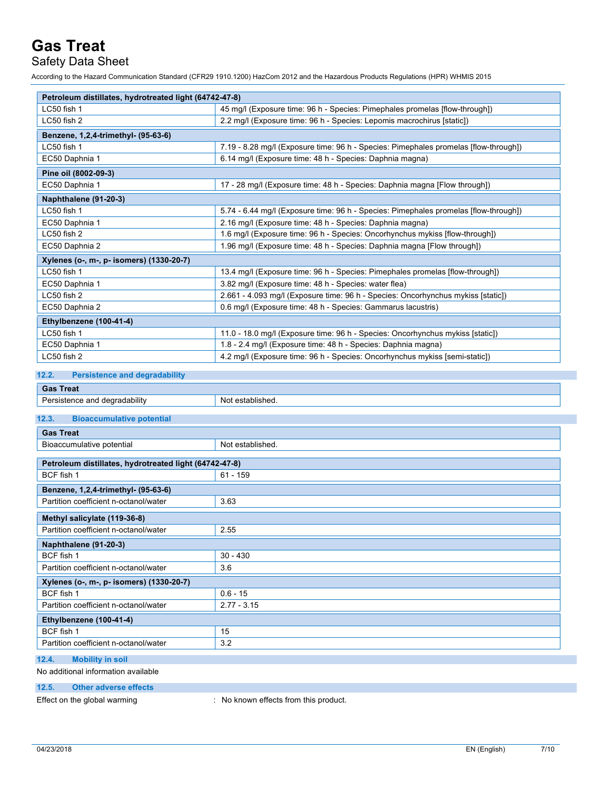Safety Data Sheet

According to the Hazard Communication Standard (CFR29 1910.1200) HazCom 2012 and the Hazardous Products Regulations (HPR) WHMIS 2015

| Petroleum distillates, hydrotreated light (64742-47-8)                                       |                                                                                      |  |
|----------------------------------------------------------------------------------------------|--------------------------------------------------------------------------------------|--|
| LC50 fish 1<br>45 mg/l (Exposure time: 96 h - Species: Pimephales promelas [flow-through])   |                                                                                      |  |
| LC50 fish 2                                                                                  | 2.2 mg/l (Exposure time: 96 h - Species: Lepomis macrochirus [static])               |  |
| Benzene, 1,2,4-trimethyl- (95-63-6)                                                          |                                                                                      |  |
| LC50 fish 1                                                                                  | 7.19 - 8.28 mg/l (Exposure time: 96 h - Species: Pimephales promelas [flow-through]) |  |
| EC50 Daphnia 1                                                                               | 6.14 mg/l (Exposure time: 48 h - Species: Daphnia magna)                             |  |
| Pine oil (8002-09-3)                                                                         |                                                                                      |  |
| 17 - 28 mg/l (Exposure time: 48 h - Species: Daphnia magna [Flow through])<br>EC50 Daphnia 1 |                                                                                      |  |
| Naphthalene (91-20-3)                                                                        |                                                                                      |  |
| LC50 fish 1                                                                                  | 5.74 - 6.44 mg/l (Exposure time: 96 h - Species: Pimephales promelas [flow-through]) |  |
| EC50 Daphnia 1<br>2.16 mg/l (Exposure time: 48 h - Species: Daphnia magna)                   |                                                                                      |  |
| LC50 fish 2<br>1.6 mg/l (Exposure time: 96 h - Species: Oncorhynchus mykiss [flow-through])  |                                                                                      |  |
| EC50 Daphnia 2                                                                               | 1.96 mg/l (Exposure time: 48 h - Species: Daphnia magna [Flow through])              |  |
| Xylenes (o-, m-, p- isomers) (1330-20-7)                                                     |                                                                                      |  |
| LC50 fish 1                                                                                  | 13.4 mg/l (Exposure time: 96 h - Species: Pimephales promelas [flow-through])        |  |
| 3.82 mg/l (Exposure time: 48 h - Species: water flea)<br>EC50 Daphnia 1                      |                                                                                      |  |
| LC50 fish 2                                                                                  | 2.661 - 4.093 mg/l (Exposure time: 96 h - Species: Oncorhynchus mykiss [static])     |  |
| EC50 Daphnia 2                                                                               | 0.6 mg/l (Exposure time: 48 h - Species: Gammarus lacustris)                         |  |
| Ethylbenzene (100-41-4)                                                                      |                                                                                      |  |
| LC50 fish 1                                                                                  | 11.0 - 18.0 mg/l (Exposure time: 96 h - Species: Oncorhynchus mykiss [static])       |  |
| 1.8 - 2.4 mg/l (Exposure time: 48 h - Species: Daphnia magna)<br>EC50 Daphnia 1              |                                                                                      |  |
| LC50 fish 2                                                                                  | 4.2 mg/l (Exposure time: 96 h - Species: Oncorhynchus mykiss [semi-static])          |  |

#### **12.2. Persistence and degradability**

| $\sim$<br>eau                         |                 |
|---------------------------------------|-----------------|
| <br>'ability<br>ח ∩מ<br>$\sim$ $\sim$ | N۱<br>$-1$<br>. |

### **12.3. Bioaccumulative potential**

| <b>Gas Treat</b>                                       |                  |  |  |
|--------------------------------------------------------|------------------|--|--|
| Bioaccumulative potential                              | Not established. |  |  |
|                                                        |                  |  |  |
| Petroleum distillates, hydrotreated light (64742-47-8) |                  |  |  |
| BCF fish 1                                             | $61 - 159$       |  |  |
| Benzene, 1,2,4-trimethyl- (95-63-6)                    |                  |  |  |
| Partition coefficient n-octanol/water                  | 3.63             |  |  |
| Methyl salicylate (119-36-8)                           |                  |  |  |
| Partition coefficient n-octanol/water                  | 2.55             |  |  |
| Naphthalene (91-20-3)                                  |                  |  |  |
| BCF fish 1                                             | $30 - 430$       |  |  |
| Partition coefficient n-octanol/water                  | 3.6              |  |  |
| Xylenes (o-, m-, p- isomers) (1330-20-7)               |                  |  |  |
| BCF fish 1                                             | $0.6 - 15$       |  |  |
| Partition coefficient n-octanol/water                  | $2.77 - 3.15$    |  |  |
| Ethylbenzene (100-41-4)                                |                  |  |  |
| BCF fish 1                                             | 15               |  |  |
| Partition coefficient n-octanol/water                  | 3.2              |  |  |
| 12.4.<br><b>Mobility in soil</b>                       |                  |  |  |

#### No additional information available

**12.5. Other adverse effects**

Effect on the global warming : No known effects from this product.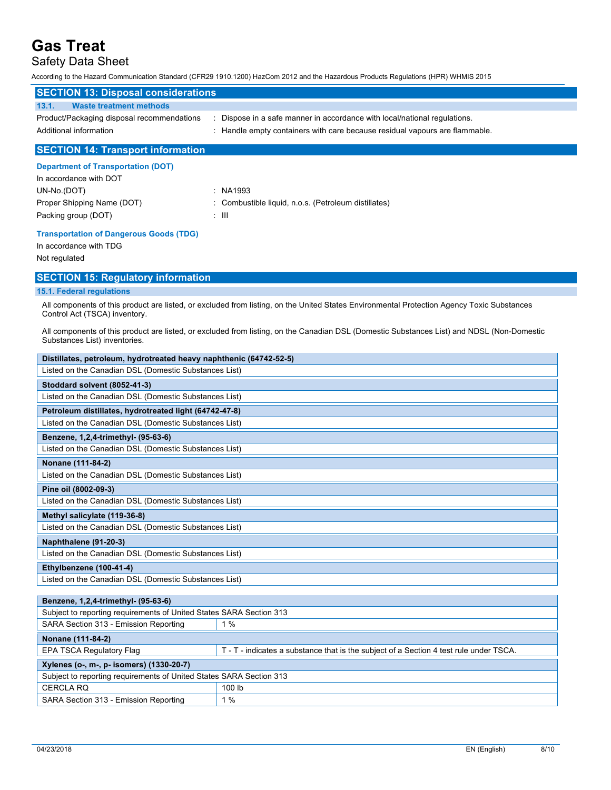### Safety Data Sheet

According to the Hazard Communication Standard (CFR29 1910.1200) HazCom 2012 and the Hazardous Products Regulations (HPR) WHMIS 2015

| <b>SECTION 13: Disposal considerations</b>                           |                                                                                                                                                          |  |  |
|----------------------------------------------------------------------|----------------------------------------------------------------------------------------------------------------------------------------------------------|--|--|
| <b>Waste treatment methods</b><br>13.1.                              |                                                                                                                                                          |  |  |
| Product/Packaging disposal recommendations<br>Additional information | : Dispose in a safe manner in accordance with local/national regulations.<br>: Handle empty containers with care because residual vapours are flammable. |  |  |
| <b>SECTION 14: Transport information</b>                             |                                                                                                                                                          |  |  |

#### **Department of Transportation (DOT)**

| In accordance with DOT     |       |                                                    |
|----------------------------|-------|----------------------------------------------------|
| UN-No.(DOT)                |       | : NA1993                                           |
| Proper Shipping Name (DOT) |       | Combustible liquid, n.o.s. (Petroleum distillates) |
| Packing group (DOT)        | : III |                                                    |

#### **Transportation of Dangerous Goods (TDG)**

In accordance with TDG Not regulated

#### **SECTION 15: Regulatory information**

#### **15.1. Federal regulations**

All components of this product are listed, or excluded from listing, on the United States Environmental Protection Agency Toxic Substances Control Act (TSCA) inventory.

All components of this product are listed, or excluded from listing, on the Canadian DSL (Domestic Substances List) and NDSL (Non-Domestic Substances List) inventories.

| Distillates, petroleum, hydrotreated heavy naphthenic (64742-52-5)  |                                                                                        |  |
|---------------------------------------------------------------------|----------------------------------------------------------------------------------------|--|
| Listed on the Canadian DSL (Domestic Substances List)               |                                                                                        |  |
| Stoddard solvent (8052-41-3)                                        |                                                                                        |  |
| Listed on the Canadian DSL (Domestic Substances List)               |                                                                                        |  |
| Petroleum distillates, hydrotreated light (64742-47-8)              |                                                                                        |  |
| Listed on the Canadian DSL (Domestic Substances List)               |                                                                                        |  |
| Benzene, 1,2,4-trimethyl- (95-63-6)                                 |                                                                                        |  |
| Listed on the Canadian DSL (Domestic Substances List)               |                                                                                        |  |
| Nonane (111-84-2)                                                   |                                                                                        |  |
| Listed on the Canadian DSL (Domestic Substances List)               |                                                                                        |  |
| Pine oil (8002-09-3)                                                |                                                                                        |  |
| Listed on the Canadian DSL (Domestic Substances List)               |                                                                                        |  |
| Methyl salicylate (119-36-8)                                        |                                                                                        |  |
| Listed on the Canadian DSL (Domestic Substances List)               |                                                                                        |  |
| Naphthalene (91-20-3)                                               |                                                                                        |  |
| Listed on the Canadian DSL (Domestic Substances List)               |                                                                                        |  |
| Ethylbenzene (100-41-4)                                             |                                                                                        |  |
| Listed on the Canadian DSL (Domestic Substances List)               |                                                                                        |  |
|                                                                     |                                                                                        |  |
| Benzene, 1,2,4-trimethyl- (95-63-6)                                 |                                                                                        |  |
| Subject to reporting requirements of United States SARA Section 313 |                                                                                        |  |
| SARA Section 313 - Emission Reporting                               | $1\%$                                                                                  |  |
| Nonane (111-84-2)                                                   |                                                                                        |  |
|                                                                     |                                                                                        |  |
| <b>EPA TSCA Regulatory Flag</b>                                     | T - T - indicates a substance that is the subject of a Section 4 test rule under TSCA. |  |
| Xylenes (o-, m-, p- isomers) (1330-20-7)                            |                                                                                        |  |
| Subject to reporting requirements of United States SARA Section 313 |                                                                                        |  |
| <b>CERCLA RQ</b>                                                    | 100 lb                                                                                 |  |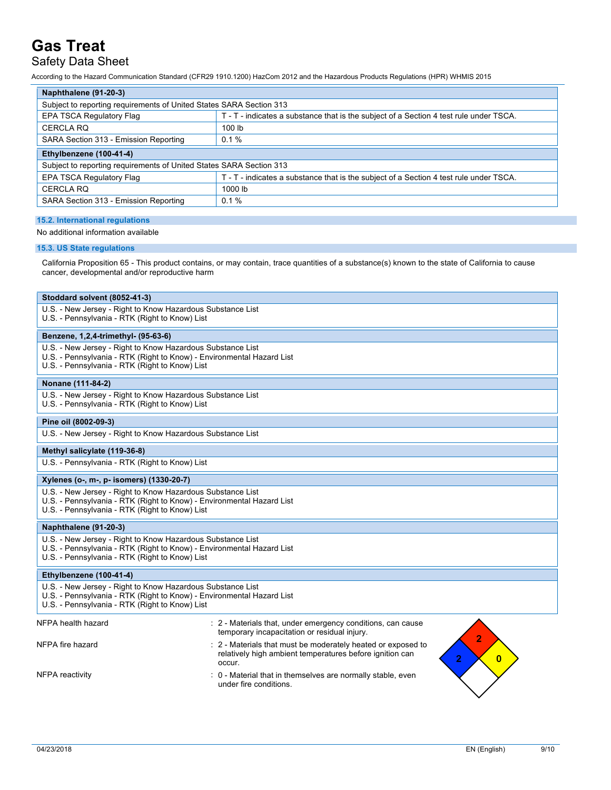## Safety Data Sheet

According to the Hazard Communication Standard (CFR29 1910.1200) HazCom 2012 and the Hazardous Products Regulations (HPR) WHMIS 2015

| Naphthalene (91-20-3)                                                                                                                                                                 |                                                                                                                                                                           |
|---------------------------------------------------------------------------------------------------------------------------------------------------------------------------------------|---------------------------------------------------------------------------------------------------------------------------------------------------------------------------|
| Subject to reporting requirements of United States SARA Section 313                                                                                                                   |                                                                                                                                                                           |
| <b>EPA TSCA Regulatory Flag</b>                                                                                                                                                       | T - T - indicates a substance that is the subject of a Section 4 test rule under TSCA.                                                                                    |
| <b>CERCLA RQ</b>                                                                                                                                                                      | 100 lb                                                                                                                                                                    |
| SARA Section 313 - Emission Reporting                                                                                                                                                 | 0.1%                                                                                                                                                                      |
| Ethylbenzene (100-41-4)                                                                                                                                                               |                                                                                                                                                                           |
| Subject to reporting requirements of United States SARA Section 313                                                                                                                   |                                                                                                                                                                           |
| EPA TSCA Regulatory Flag                                                                                                                                                              | T - T - indicates a substance that is the subject of a Section 4 test rule under TSCA.                                                                                    |
| <b>CERCLA RQ</b>                                                                                                                                                                      | 1000 lb                                                                                                                                                                   |
| SARA Section 313 - Emission Reporting                                                                                                                                                 | 0.1%                                                                                                                                                                      |
| <b>15.2. International regulations</b>                                                                                                                                                |                                                                                                                                                                           |
| No additional information available                                                                                                                                                   |                                                                                                                                                                           |
|                                                                                                                                                                                       |                                                                                                                                                                           |
| 15.3. US State regulations                                                                                                                                                            |                                                                                                                                                                           |
| cancer, developmental and/or reproductive harm                                                                                                                                        | California Proposition 65 - This product contains, or may contain, trace quantities of a substance(s) known to the state of California to cause                           |
| Stoddard solvent (8052-41-3)                                                                                                                                                          |                                                                                                                                                                           |
| U.S. - New Jersey - Right to Know Hazardous Substance List<br>U.S. - Pennsylvania - RTK (Right to Know) List                                                                          |                                                                                                                                                                           |
| Benzene, 1,2,4-trimethyl- (95-63-6)                                                                                                                                                   |                                                                                                                                                                           |
| U.S. - New Jersey - Right to Know Hazardous Substance List<br>U.S. - Pennsylvania - RTK (Right to Know) - Environmental Hazard List<br>U.S. - Pennsylvania - RTK (Right to Know) List |                                                                                                                                                                           |
| Nonane (111-84-2)                                                                                                                                                                     |                                                                                                                                                                           |
| U.S. - New Jersey - Right to Know Hazardous Substance List<br>U.S. - Pennsylvania - RTK (Right to Know) List                                                                          |                                                                                                                                                                           |
| Pine oil (8002-09-3)                                                                                                                                                                  |                                                                                                                                                                           |
| U.S. - New Jersey - Right to Know Hazardous Substance List                                                                                                                            |                                                                                                                                                                           |
| Methyl salicylate (119-36-8)                                                                                                                                                          |                                                                                                                                                                           |
| U.S. - Pennsylvania - RTK (Right to Know) List                                                                                                                                        |                                                                                                                                                                           |
|                                                                                                                                                                                       |                                                                                                                                                                           |
| Xylenes (o-, m-, p- isomers) (1330-20-7)                                                                                                                                              |                                                                                                                                                                           |
| U.S. - New Jersey - Right to Know Hazardous Substance List<br>U.S. - Pennsylvania - RTK (Right to Know) - Environmental Hazard List<br>U.S. - Pennsylvania - RTK (Right to Know) List |                                                                                                                                                                           |
| Naphthalene (91-20-3)                                                                                                                                                                 |                                                                                                                                                                           |
| U.S. - New Jersey - Right to Know Hazardous Substance List<br>U.S. - Pennsylvania - RTK (Right to Know) - Environmental Hazard List<br>U.S. - Pennsylvania - RTK (Right to Know) List |                                                                                                                                                                           |
| Ethylbenzene (100-41-4)                                                                                                                                                               |                                                                                                                                                                           |
| U.S. - New Jersey - Right to Know Hazardous Substance List<br>U.S. - Pennsylvania - RTK (Right to Know) - Environmental Hazard List<br>U.S. - Pennsylvania - RTK (Right to Know) List |                                                                                                                                                                           |
| NFPA health hazard                                                                                                                                                                    | : 2 - Materials that, under emergency conditions, can cause<br>temporary incapacitation or residual injury.                                                               |
| NFPA fire hazard                                                                                                                                                                      | 2<br>: 2 - Materials that must be moderately heated or exposed to<br>relatively high ambient temperatures before ignition can<br>$\overline{2}$<br>$\mathbf{0}$<br>occur. |
| NFPA reactivity                                                                                                                                                                       | : 0 - Material that in themselves are normally stable, even<br>under fire conditions.                                                                                     |